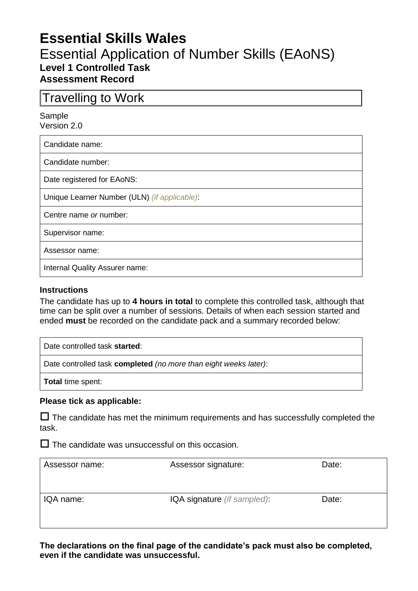# **Essential Skills Wales**

# Essential Application of Number Skills (EAoNS) **Level 1 Controlled Task Assessment Record**

Travelling to Work

#### Sample Version 2.0

Candidate name:

Candidate number:

Date registered for EAoNS:

Unique Learner Number (ULN) *(if applicable)*:

Centre name *or* number:

Supervisor name:

Assessor name:

Internal Quality Assurer name:

### **Instructions**

The candidate has up to **4 hours in total** to complete this controlled task, although that time can be split over a number of sessions. Details of when each session started and ended **must** be recorded on the candidate pack and a summary recorded below:

Date controlled task **started**:

Date controlled task **completed** *(no more than eight weeks later)*:

**Total** time spent:

#### **Please tick as applicable:**

 $\Box$  The candidate has met the minimum requirements and has successfully completed the task.

 $\square$  The candidate was unsuccessful on this occasion.

| Assessor name: | Assessor signature:        | Date: |
|----------------|----------------------------|-------|
| IQA name:      | IQA signature (if sampled) | Date: |

**The declarations on the final page of the candidate's pack must also be completed, even if the candidate was unsuccessful.**